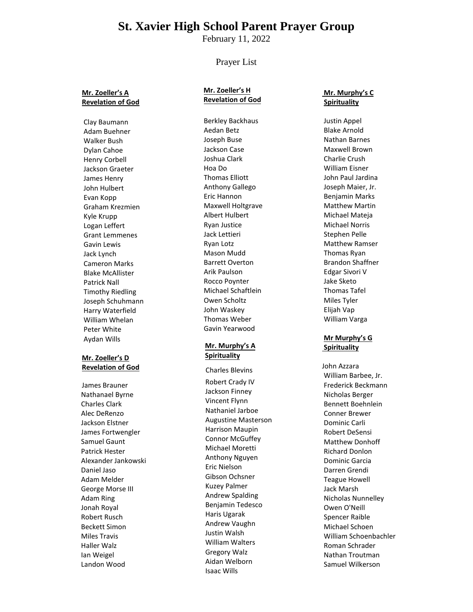# **St. Xavier High School Parent Prayer Group**

February 11, 2022

### Prayer List

#### **Mr. Zoeller's A Revelation of God**

Clay Baumann Adam Buehner Walker Bush Dylan Cahoe Henry Corbell Jackson Graeter James Henry John Hulbert Evan Kopp Graham Krezmien Kyle Krupp Logan Leffert Grant Lemmenes Gavin Lewis Jack Lynch Cameron Marks Blake McAllister Patrick Nall Timothy Riedling Joseph Schuhmann Harry Waterfield William Whelan Peter White Aydan Wills

#### **Mr. Zoeller's D Revelation of God**

James Brauner Nathanael Byrne Charles Clark Alec DeRenzo Jackson Elstner James Fortwengler Samuel Gaunt Patrick Hester Alexander Jankowski Daniel Jaso Adam Melder George Morse III Adam Ring Jonah Royal Robert Rusch Beckett Simon Miles Travis Haller Walz Ian Weigel Landon Wood

#### **Mr. Zoeller's H Revelation of God**

Berkley Backhaus Aedan Betz Joseph Buse Jackson Case Joshua Clark Hoa Do Thomas Elliott Anthony Gallego Eric Hannon Maxwell Holtgrave Albert Hulbert Ryan Justice Jack Lettieri Ryan Lotz Mason Mudd Barrett Overton Arik Paulson Rocco Poynter Michael Schaftlein Owen Scholtz John Waskey Thomas Weber Gavin Yearwood

#### **Mr. Murphy's A Spirituality**

Charles Blevins Robert Crady IV Jackson Finney Vincent Flynn Nathaniel Jarboe Augustine Masterson Harrison Maupin Connor McGuffey Michael Moretti Anthony Nguyen Eric Nielson Gibson Ochsner Kuzey Palmer Andrew Spalding Benjamin Tedesco Haris Ugarak Andrew Vaughn Justin Walsh William Walters Gregory Walz Aidan Welborn Isaac Wills

#### **Mr. Murphy's C Spirituality**

Justin Appel Blake Arnold Nathan Barnes Maxwell Brown Charlie Crush William Eisner John Paul Jardina Joseph Maier, Jr. Benjamin Marks Matthew Martin Michael Mateja Michael Norris Stephen Pelle Matthew Ramser Thomas Ryan Brandon Shaffner Edgar Sivori V Jake Sketo Thomas Tafel Miles Tyler Elijah Vap William Varga

#### **Mr Murphy's G Spirituality**

John Azzara William Barbee, Jr. Frederick Beckmann Nicholas Berger Bennett Boehnlein Conner Brewer Dominic Carli Robert DeSensi Matthew Donhoff Richard Donlon Dominic Garcia Darren Grendi Teague Howell Jack Marsh Nicholas Nunnelley Owen O'Neill Spencer Raible Michael Schoen William Schoenbachler Roman Schrader Nathan Troutman Samuel Wilkerson